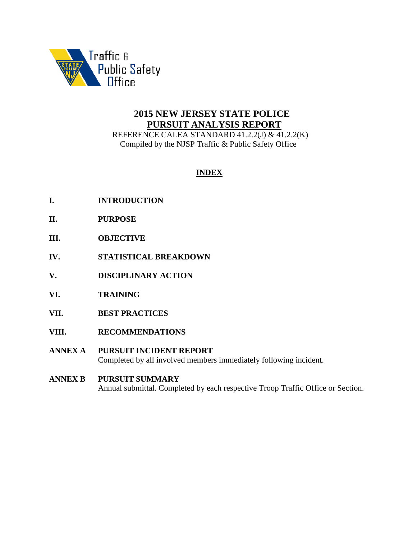

# **2015 NEW JERSEY STATE POLICE PURSUIT ANALYSIS REPORT**

 REFERENCE CALEA STANDARD 41.2.2(J) & 41.2.2(K) Compiled by the NJSP Traffic & Public Safety Office

# **INDEX**

- **I. INTRODUCTION**
- **II. PURPOSE**
- **III. OBJECTIVE**
- **IV. STATISTICAL BREAKDOWN**
- **V. DISCIPLINARY ACTION**
- **VI. TRAINING**
- **VII. BEST PRACTICES**
- **VIII. RECOMMENDATIONS**
- **ANNEX A PURSUIT INCIDENT REPORT** Completed by all involved members immediately following incident.
- **ANNEX B PURSUIT SUMMARY** Annual submittal. Completed by each respective Troop Traffic Office or Section.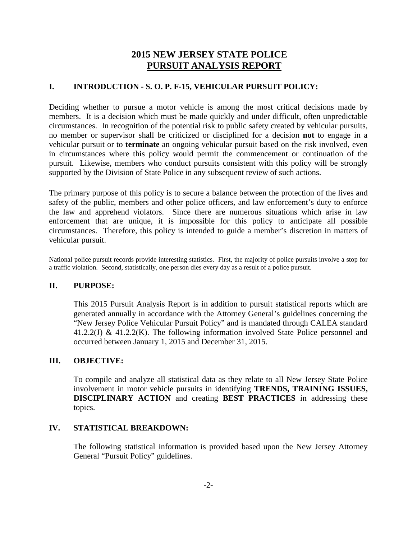# **2015 NEW JERSEY STATE POLICE PURSUIT ANALYSIS REPORT**

## **I. INTRODUCTION - S. O. P. F-15, VEHICULAR PURSUIT POLICY:**

Deciding whether to pursue a motor vehicle is among the most critical decisions made by members. It is a decision which must be made quickly and under difficult, often unpredictable circumstances. In recognition of the potential risk to public safety created by vehicular pursuits, no member or supervisor shall be criticized or disciplined for a decision **not** to engage in a vehicular pursuit or to **terminate** an ongoing vehicular pursuit based on the risk involved, even in circumstances where this policy would permit the commencement or continuation of the pursuit. Likewise, members who conduct pursuits consistent with this policy will be strongly supported by the Division of State Police in any subsequent review of such actions.

The primary purpose of this policy is to secure a balance between the protection of the lives and safety of the public, members and other police officers, and law enforcement's duty to enforce the law and apprehend violators. Since there are numerous situations which arise in law enforcement that are unique, it is impossible for this policy to anticipate all possible circumstances. Therefore, this policy is intended to guide a member's discretion in matters of vehicular pursuit.

National police pursuit records provide interesting statistics. First, the majority of police pursuits involve a stop for a traffic violation. Second, statistically, one person dies every day as a result of a police pursuit.

## **II. PURPOSE:**

This 2015 Pursuit Analysis Report is in addition to pursuit statistical reports which are generated annually in accordance with the Attorney General's guidelines concerning the "New Jersey Police Vehicular Pursuit Policy" and is mandated through CALEA standard 41.2.2(J) & 41.2.2(K). The following information involved State Police personnel and occurred between January 1, 2015 and December 31, 2015.

### **III. OBJECTIVE:**

To compile and analyze all statistical data as they relate to all New Jersey State Police involvement in motor vehicle pursuits in identifying **TRENDS, TRAINING ISSUES, DISCIPLINARY ACTION** and creating **BEST PRACTICES** in addressing these topics.

### **IV. STATISTICAL BREAKDOWN:**

The following statistical information is provided based upon the New Jersey Attorney General "Pursuit Policy" guidelines.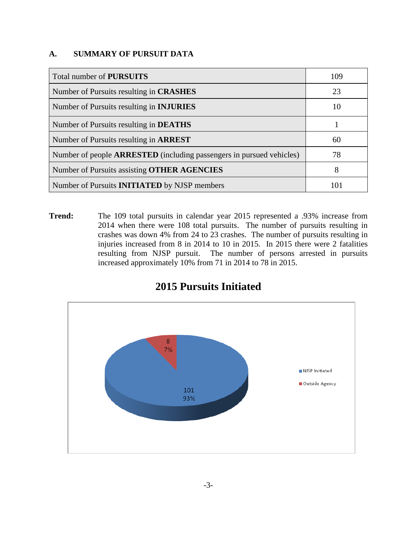## **A. SUMMARY OF PURSUIT DATA**

| Total number of <b>PURSUITS</b>                                             | 109 |
|-----------------------------------------------------------------------------|-----|
| Number of Pursuits resulting in <b>CRASHES</b>                              | 23  |
| Number of Pursuits resulting in <b>INJURIES</b>                             | 10  |
| Number of Pursuits resulting in <b>DEATHS</b>                               |     |
| Number of Pursuits resulting in <b>ARREST</b>                               | 60  |
| Number of people <b>ARRESTED</b> (including passengers in pursued vehicles) | 78  |
| Number of Pursuits assisting <b>OTHER AGENCIES</b>                          | 8   |
| Number of Pursuits <b>INITIATED</b> by NJSP members                         |     |

**Trend:** The 109 total pursuits in calendar year 2015 represented a .93% increase from 2014 when there were 108 total pursuits. The number of pursuits resulting in crashes was down 4% from 24 to 23 crashes. The number of pursuits resulting in injuries increased from 8 in 2014 to 10 in 2015. In 2015 there were 2 fatalities resulting from NJSP pursuit. The number of persons arrested in pursuits increased approximately 10% from 71 in 2014 to 78 in 2015.



# **2015 Pursuits Initiated**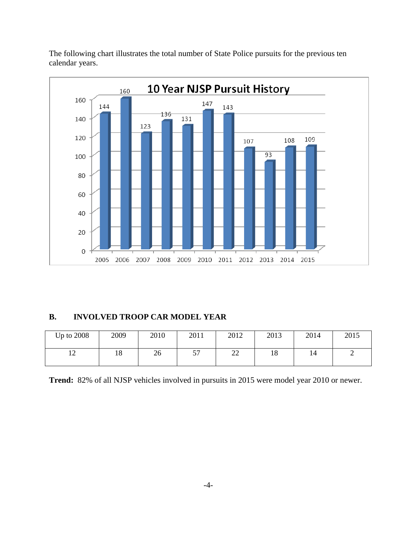



## **B. INVOLVED TROOP CAR MODEL YEAR**

| Up to $2008$           | 2009     | 2010 | 2011      | 2012               | 2013 | 2014 | 2015 |
|------------------------|----------|------|-----------|--------------------|------|------|------|
| $\sim$<br>$\mathbf{L}$ | 10<br>10 | 26   | cπ<br>ا ب | $\mathbf{A}$<br>∠∠ | 18   | 14   | ∽    |

**Trend:** 82% of all NJSP vehicles involved in pursuits in 2015 were model year 2010 or newer.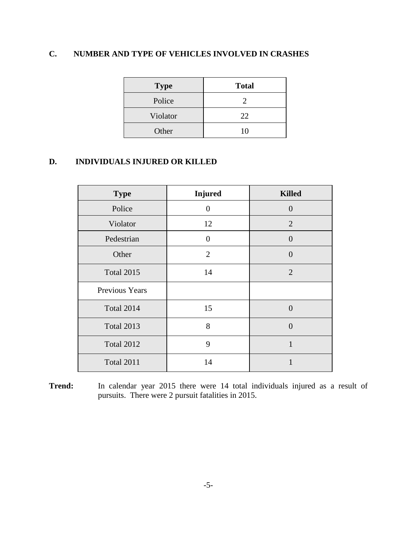# **C. NUMBER AND TYPE OF VEHICLES INVOLVED IN CRASHES**

| <b>Type</b> | <b>Total</b> |
|-------------|--------------|
| Police      | 2            |
| Violator    | 22           |
| Other       | 10           |

# **D. INDIVIDUALS INJURED OR KILLED**

| <b>Type</b>       | <b>Injured</b> | <b>Killed</b>  |
|-------------------|----------------|----------------|
| Police            | 0              | $\Omega$       |
| Violator          | 12             | $\overline{2}$ |
| Pedestrian        | $\overline{0}$ | $\overline{0}$ |
| Other             | $\overline{2}$ | $\overline{0}$ |
| <b>Total 2015</b> | 14             | $\overline{2}$ |
| Previous Years    |                |                |
| <b>Total 2014</b> | 15             | $\theta$       |
| <b>Total 2013</b> | 8              | $\theta$       |
| <b>Total 2012</b> | 9              | $\mathbf{1}$   |
| <b>Total 2011</b> | 14             |                |

**Trend:** In calendar year 2015 there were 14 total individuals injured as a result of pursuits. There were 2 pursuit fatalities in 2015.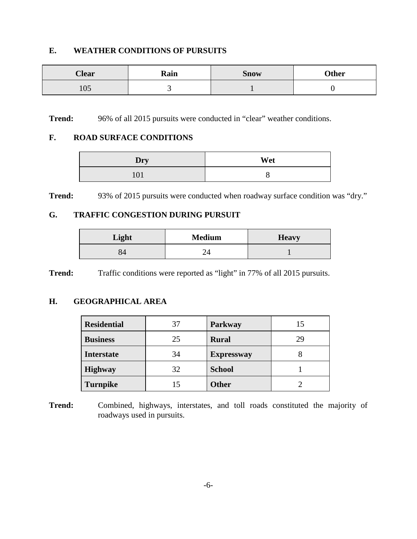## **E. WEATHER CONDITIONS OF PURSUITS**

| <b>Clear</b>               | Rain | <b>Snow</b> | <b>Other</b> |
|----------------------------|------|-------------|--------------|
| $\Omega$<br>1 <sub>U</sub> | ັ    |             |              |

**Trend:** 96% of all 2015 pursuits were conducted in "clear" weather conditions.

#### **F. ROAD SURFACE CONDITIONS**

| Dry | Wet |
|-----|-----|
| 101 |     |

**Trend:** 93% of 2015 pursuits were conducted when roadway surface condition was "dry."

## **G. TRAFFIC CONGESTION DURING PURSUIT**

| Light | <b>Medium</b> | <b>Heavy</b> |
|-------|---------------|--------------|
|       |               |              |

**Trend:** Traffic conditions were reported as "light" in 77% of all 2015 pursuits.

## **H. GEOGRAPHICAL AREA**

| <b>Residential</b> | 37 | Parkway           | 15 |
|--------------------|----|-------------------|----|
| <b>Business</b>    | 25 | <b>Rural</b>      | 29 |
| <b>Interstate</b>  | 34 | <b>Expressway</b> |    |
| <b>Highway</b>     | 32 | <b>School</b>     |    |
| <b>Turnpike</b>    | 15 | <b>Other</b>      |    |

**Trend:** Combined, highways, interstates, and toll roads constituted the majority of roadways used in pursuits.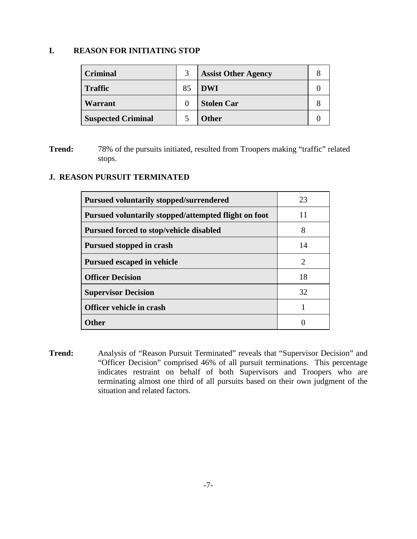## **I. REASON FOR INITIATING STOP**

| <b>Criminal</b>           | 3  | <b>Assist Other Agency</b> |  |
|---------------------------|----|----------------------------|--|
| <b>Traffic</b>            | 85 | <b>DWI</b>                 |  |
| Warrant                   |    | <b>Stolen Car</b>          |  |
| <b>Suspected Criminal</b> |    | <b>Other</b>               |  |

**Trend:** 78% of the pursuits initiated, resulted from Troopers making "traffic" related stops.

# **J. REASON PURSUIT TERMINATED**

| <b>Pursued voluntarily stopped/surrendered</b>       | 23 |
|------------------------------------------------------|----|
| Pursued voluntarily stopped/attempted flight on foot | 11 |
| Pursued forced to stop/vehicle disabled              | 8  |
| Pursued stopped in crash                             | 14 |
| <b>Pursued escaped in vehicle</b>                    | 2  |
| <b>Officer Decision</b>                              | 18 |
| <b>Supervisor Decision</b>                           | 32 |
| Officer vehicle in crash                             |    |
| ()ther                                               |    |

**Trend:** Analysis of "Reason Pursuit Terminated" reveals that "Supervisor Decision" and "Officer Decision" comprised 46% of all pursuit terminations. This percentage indicates restraint on behalf of both Supervisors and Troopers who are terminating almost one third of all pursuits based on their own judgment of the situation and related factors.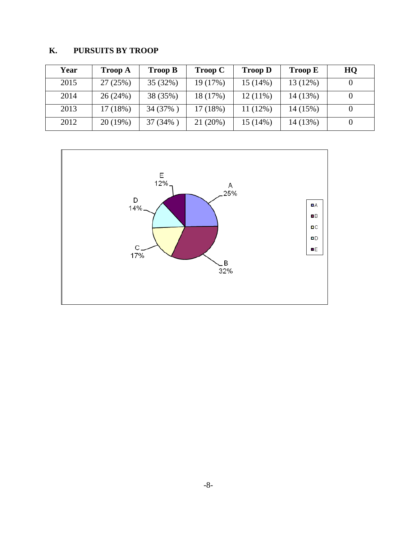# **K. PURSUITS BY TROOP**

| Year | <b>Troop A</b> | <b>Troop B</b> | <b>Troop C</b> | <b>Troop D</b> | <b>Troop E</b> | HQ |
|------|----------------|----------------|----------------|----------------|----------------|----|
| 2015 | 27(25%)        | 35 (32%)       | 19 (17%)       | 15(14%)        | 13 (12%)       |    |
| 2014 | 26(24%)        | 38 (35%)       | 18 (17%)       | $12(11\%)$     | 14 (13%)       |    |
| 2013 | 17(18%)        | 34 (37%)       | 17 (18%)       | 11 (12%)       | 14 (15%)       |    |
| 2012 | 20 (19%)       | 37 (34%)       | 21 (20%)       | 15(14%)        | 14 (13%)       |    |

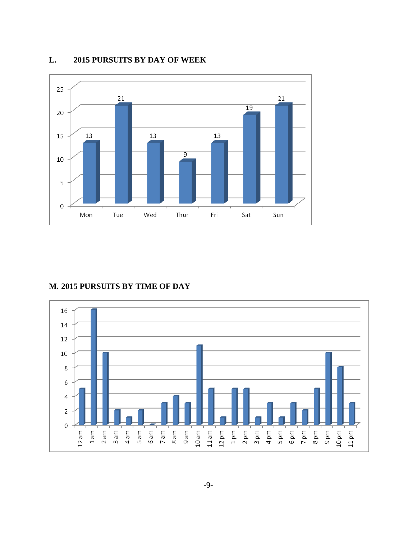

### **L. 2015 PURSUITS BY DAY OF WEEK**

#### **M. 2015 PURSUITS BY TIME OF DAY**

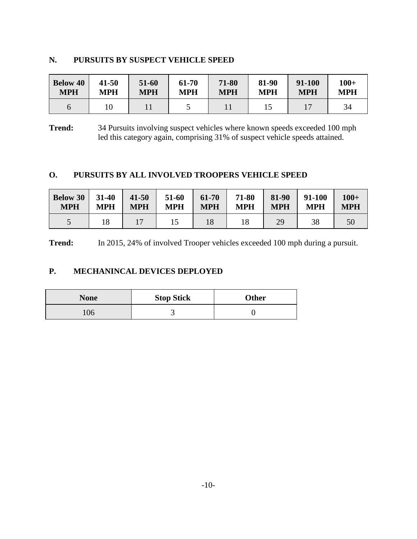## **N. PURSUITS BY SUSPECT VEHICLE SPEED**

| <b>Below 40</b> | $41 - 50$  | 51-60      | 61-70      | 71-80      | 81-90      | 91-100     | $100+$     |
|-----------------|------------|------------|------------|------------|------------|------------|------------|
| <b>MPH</b>      | <b>MPH</b> | <b>MPH</b> | <b>MPH</b> | <b>MPH</b> | <b>MPH</b> | <b>MPH</b> | <b>MPH</b> |
|                 | 10         |            |            |            |            |            | 34         |

**Trend:** 34 Pursuits involving suspect vehicles where known speeds exceeded 100 mph led this category again, comprising 31% of suspect vehicle speeds attained.

## **O. PURSUITS BY ALL INVOLVED TROOPERS VEHICLE SPEED**

| <b>Below 30</b> | $31 - 40$  | $41 - 50$  | 51-60      | 61-70      | 71-80      | 81-90      | 91-100     | $100+$     |
|-----------------|------------|------------|------------|------------|------------|------------|------------|------------|
| <b>MPH</b>      | <b>MPH</b> | <b>MPH</b> | <b>MPH</b> | <b>MPH</b> | <b>MPH</b> | <b>MPH</b> | <b>MPH</b> | <b>MPH</b> |
|                 |            |            |            | 18         | 18         | 29         |            | 50         |

**Trend:** In 2015, 24% of involved Trooper vehicles exceeded 100 mph during a pursuit.

# **P. MECHANINCAL DEVICES DEPLOYED**

| <b>None</b> | <b>Stop Stick</b> | <b>Other</b> |  |  |
|-------------|-------------------|--------------|--|--|
| 106         |                   |              |  |  |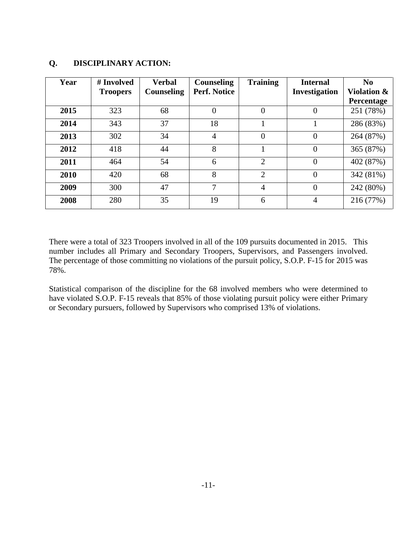#### **Year # Involved Troopers Verbal Counseling Counseling Perf. Notice Training Internal Investigation No Violation & Percentage 2015** 323 68 0 0 0 251 (78%) **2014** | 343 | 37 | 18 | 1 | 1 | 286 (83%) **2013** | 302 | 34 | 4 | 0 | 0 | 264 (87%) **2012** 418 44 8 1 0 365 (87%) **2011** 464 54 6 2 0 402 (87%) **2010** 420 68 8 2 0 342 (81%) **2009** | 300 | 47 | 7 | 4 | 0 | 242 (80%) **2008** 280 35 19 6 4 216 (77%)

## **Q. DISCIPLINARY ACTION:**

There were a total of 323 Troopers involved in all of the 109 pursuits documented in 2015. This number includes all Primary and Secondary Troopers, Supervisors, and Passengers involved. The percentage of those committing no violations of the pursuit policy, S.O.P. F-15 for 2015 was 78%.

Statistical comparison of the discipline for the 68 involved members who were determined to have violated S.O.P. F-15 reveals that 85% of those violating pursuit policy were either Primary or Secondary pursuers, followed by Supervisors who comprised 13% of violations.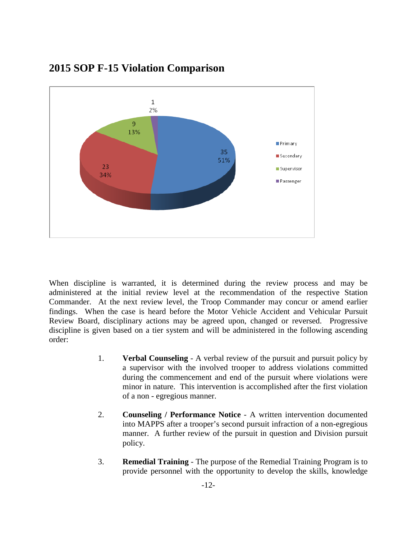

# **2015 SOP F-15 Violation Comparison**

When discipline is warranted, it is determined during the review process and may be administered at the initial review level at the recommendation of the respective Station Commander. At the next review level, the Troop Commander may concur or amend earlier findings. When the case is heard before the Motor Vehicle Accident and Vehicular Pursuit Review Board, disciplinary actions may be agreed upon, changed or reversed. Progressive discipline is given based on a tier system and will be administered in the following ascending order:

- 1. **Verbal Counseling** A verbal review of the pursuit and pursuit policy by a supervisor with the involved trooper to address violations committed during the commencement and end of the pursuit where violations were minor in nature. This intervention is accomplished after the first violation of a non - egregious manner.
- 2. **Counseling / Performance Notice** A written intervention documented into MAPPS after a trooper's second pursuit infraction of a non-egregious manner. A further review of the pursuit in question and Division pursuit policy.
- 3. **Remedial Training** The purpose of the Remedial Training Program is to provide personnel with the opportunity to develop the skills, knowledge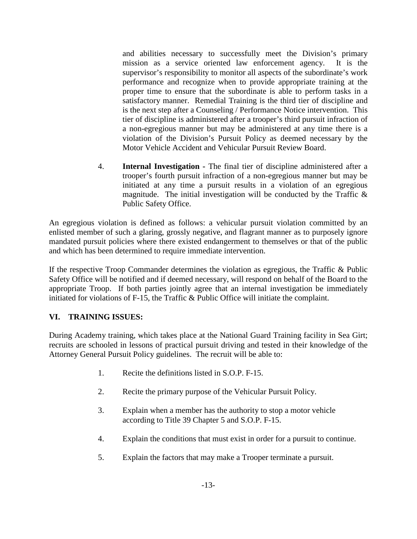and abilities necessary to successfully meet the Division's primary mission as a service oriented law enforcement agency. It is the supervisor's responsibility to monitor all aspects of the subordinate's work performance and recognize when to provide appropriate training at the proper time to ensure that the subordinate is able to perform tasks in a satisfactory manner. Remedial Training is the third tier of discipline and is the next step after a Counseling / Performance Notice intervention. This tier of discipline is administered after a trooper's third pursuit infraction of a non-egregious manner but may be administered at any time there is a violation of the Division's Pursuit Policy as deemed necessary by the Motor Vehicle Accident and Vehicular Pursuit Review Board.

4. **Internal Investigation -** The final tier of discipline administered after a trooper's fourth pursuit infraction of a non-egregious manner but may be initiated at any time a pursuit results in a violation of an egregious magnitude. The initial investigation will be conducted by the Traffic  $\&$ Public Safety Office.

An egregious violation is defined as follows: a vehicular pursuit violation committed by an enlisted member of such a glaring, grossly negative, and flagrant manner as to purposely ignore mandated pursuit policies where there existed endangerment to themselves or that of the public and which has been determined to require immediate intervention.

If the respective Troop Commander determines the violation as egregious, the Traffic & Public Safety Office will be notified and if deemed necessary, will respond on behalf of the Board to the appropriate Troop. If both parties jointly agree that an internal investigation be immediately initiated for violations of F-15, the Traffic & Public Office will initiate the complaint.

## **VI. TRAINING ISSUES:**

During Academy training, which takes place at the National Guard Training facility in Sea Girt; recruits are schooled in lessons of practical pursuit driving and tested in their knowledge of the Attorney General Pursuit Policy guidelines. The recruit will be able to:

- 1. Recite the definitions listed in S.O.P. F-15.
- 2. Recite the primary purpose of the Vehicular Pursuit Policy.
- 3. Explain when a member has the authority to stop a motor vehicle according to Title 39 Chapter 5 and S.O.P. F-15.
- 4. Explain the conditions that must exist in order for a pursuit to continue.
- 5. Explain the factors that may make a Trooper terminate a pursuit.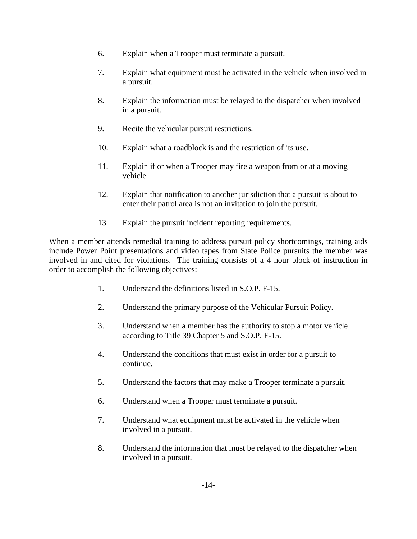- 6. Explain when a Trooper must terminate a pursuit.
- 7. Explain what equipment must be activated in the vehicle when involved in a pursuit.
- 8. Explain the information must be relayed to the dispatcher when involved in a pursuit.
- 9. Recite the vehicular pursuit restrictions.
- 10. Explain what a roadblock is and the restriction of its use.
- 11. Explain if or when a Trooper may fire a weapon from or at a moving vehicle.
- 12. Explain that notification to another jurisdiction that a pursuit is about to enter their patrol area is not an invitation to join the pursuit.
- 13. Explain the pursuit incident reporting requirements.

When a member attends remedial training to address pursuit policy shortcomings, training aids include Power Point presentations and video tapes from State Police pursuits the member was involved in and cited for violations. The training consists of a 4 hour block of instruction in order to accomplish the following objectives:

- 1. Understand the definitions listed in S.O.P. F-15.
- 2. Understand the primary purpose of the Vehicular Pursuit Policy.
- 3. Understand when a member has the authority to stop a motor vehicle according to Title 39 Chapter 5 and S.O.P. F-15.
- 4. Understand the conditions that must exist in order for a pursuit to continue.
- 5. Understand the factors that may make a Trooper terminate a pursuit.
- 6. Understand when a Trooper must terminate a pursuit.
- 7. Understand what equipment must be activated in the vehicle when involved in a pursuit.
- 8. Understand the information that must be relayed to the dispatcher when involved in a pursuit.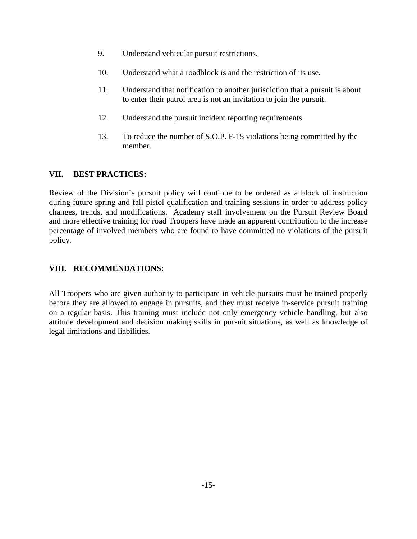- 9. Understand vehicular pursuit restrictions.
- 10. Understand what a roadblock is and the restriction of its use.
- 11. Understand that notification to another jurisdiction that a pursuit is about to enter their patrol area is not an invitation to join the pursuit.
- 12. Understand the pursuit incident reporting requirements.
- 13. To reduce the number of S.O.P. F-15 violations being committed by the member.

## **VII. BEST PRACTICES:**

Review of the Division's pursuit policy will continue to be ordered as a block of instruction during future spring and fall pistol qualification and training sessions in order to address policy changes, trends, and modifications. Academy staff involvement on the Pursuit Review Board and more effective training for road Troopers have made an apparent contribution to the increase percentage of involved members who are found to have committed no violations of the pursuit policy.

# **VIII. RECOMMENDATIONS:**

All Troopers who are given authority to participate in vehicle pursuits must be trained properly before they are allowed to engage in pursuits, and they must receive in-service pursuit training on a regular basis. This training must include not only emergency vehicle handling, but also attitude development and decision making skills in pursuit situations, as well as knowledge of legal limitations and liabilities.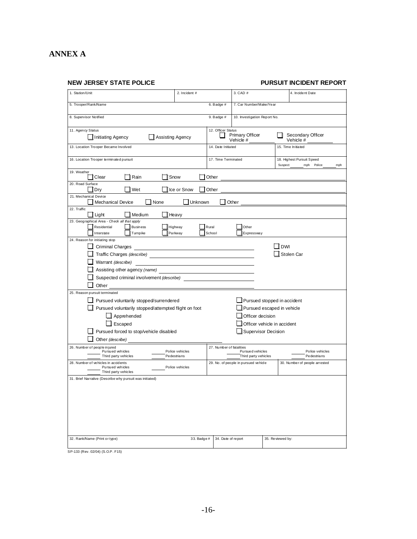# **ANNEX A**

**NEW JERSEY STATE POLICE PURSUIT INCIDENT REPORT**

| 1. Station/Unit                                                                                          | 2. Incident #                  |                                                                       | 3. CAD #                                  |                             | 4. Incident Date                                          |  |
|----------------------------------------------------------------------------------------------------------|--------------------------------|-----------------------------------------------------------------------|-------------------------------------------|-----------------------------|-----------------------------------------------------------|--|
| 5. Trooper/Rank/Name                                                                                     |                                | $6.$ Badge #                                                          | 7. Car Number/Make/Year                   |                             |                                                           |  |
| 8. Supervisor Notified                                                                                   |                                | 9. Badge $#$                                                          | 10. Investigation Report No.              |                             |                                                           |  |
| 11. Agency Status                                                                                        |                                | 12. Officer Status                                                    |                                           |                             |                                                           |  |
| Assisting Agency<br>Initiating Agency                                                                    |                                | Secondary Officer<br><b>Primary Officer</b><br>Vehicle #<br>Vehicle # |                                           |                             |                                                           |  |
| 13. Location Trooper Became Involved                                                                     |                                | 15. Time Initiated<br>14. Date Initiated                              |                                           |                             |                                                           |  |
| 16. Location Trooper terminated pursuit                                                                  |                                | 17. Time Terminated                                                   |                                           |                             | 18. Highest Pursuit Speed<br>Suspect<br>mph Police<br>mph |  |
| 19. Weather<br>Clear<br>Rain                                                                             | Snow                           | Other                                                                 |                                           |                             |                                                           |  |
| 20. Road Surface<br>Wet<br>Dry                                                                           | Ice or Snow                    | Other                                                                 |                                           |                             |                                                           |  |
| 21. Mechanical Device                                                                                    |                                |                                                                       |                                           |                             |                                                           |  |
| <b>Mechanical Device</b><br>None<br>22. Traffic                                                          | Unknown                        |                                                                       | Other                                     |                             |                                                           |  |
| Light<br>Medium                                                                                          | Heavy                          |                                                                       |                                           |                             |                                                           |  |
| 23. Geographical Area - Check all that apply<br>Residential<br><b>Business</b><br>Interstate<br>Turnpike | Highway<br>Parkway             | Rural<br>School                                                       | Other<br>Expressway                       |                             |                                                           |  |
| 24. Reason for initiating stop                                                                           |                                |                                                                       |                                           |                             |                                                           |  |
| <b>Criminal Charges</b>                                                                                  |                                |                                                                       |                                           | <b>DWI</b>                  |                                                           |  |
|                                                                                                          |                                |                                                                       |                                           |                             | Stolen Car                                                |  |
| Warrant (describe)                                                                                       |                                |                                                                       |                                           |                             |                                                           |  |
| Assisting other agency (name)                                                                            |                                |                                                                       |                                           |                             |                                                           |  |
| Suspected criminal involvement (describe)<br>Other                                                       |                                |                                                                       |                                           |                             |                                                           |  |
| 25. Reason pursuit terminated                                                                            |                                |                                                                       |                                           |                             |                                                           |  |
| Pursued voluntarily stopped/surrendered                                                                  |                                |                                                                       |                                           | Pursued stopped in accident |                                                           |  |
| Pursued voluntarily stopped/attempted flight on foot                                                     |                                |                                                                       |                                           | Pursued escaped in vehicle  |                                                           |  |
| Apprehended                                                                                              |                                |                                                                       | Officer decision                          |                             |                                                           |  |
| Escaped                                                                                                  |                                | Officer vehicle in accident                                           |                                           |                             |                                                           |  |
| Pursued forced to stop/vehicle disabled                                                                  | Supervisor Decision            |                                                                       |                                           |                             |                                                           |  |
| Other (describe)                                                                                         |                                |                                                                       |                                           |                             |                                                           |  |
| 26. Number of people in jured                                                                            |                                | 27. Number of fatalities                                              |                                           |                             |                                                           |  |
| Pursued vehicles<br>Third party vehicles                                                                 | Police vehicles<br>Pedestrians |                                                                       | Pursue d vehicles<br>Third party vehicles |                             | Police vehicles<br>Pedestrians                            |  |
| 28. Number of vehicles in accidents<br>Pursued vehicles                                                  | Police vehicles                |                                                                       | 29. No. of people in pursued vehicle      |                             | 30. Number of people arrested                             |  |
| Third party vehicles                                                                                     |                                |                                                                       |                                           |                             |                                                           |  |
| 31. Brief Narrative (Describe why pursuit was initiated)                                                 |                                |                                                                       |                                           |                             |                                                           |  |
|                                                                                                          |                                |                                                                       |                                           |                             |                                                           |  |
|                                                                                                          |                                |                                                                       |                                           |                             |                                                           |  |
|                                                                                                          |                                |                                                                       |                                           |                             |                                                           |  |
|                                                                                                          |                                |                                                                       |                                           |                             |                                                           |  |
|                                                                                                          |                                |                                                                       |                                           |                             |                                                           |  |
| 32. Rank/Name (Print or type)                                                                            | 33. Badge #                    | 34. Date of report                                                    |                                           | 35. Reviewed by:            |                                                           |  |
|                                                                                                          |                                |                                                                       |                                           |                             |                                                           |  |

SP-133 (Rev. 02/04) (S.O.P. F15)